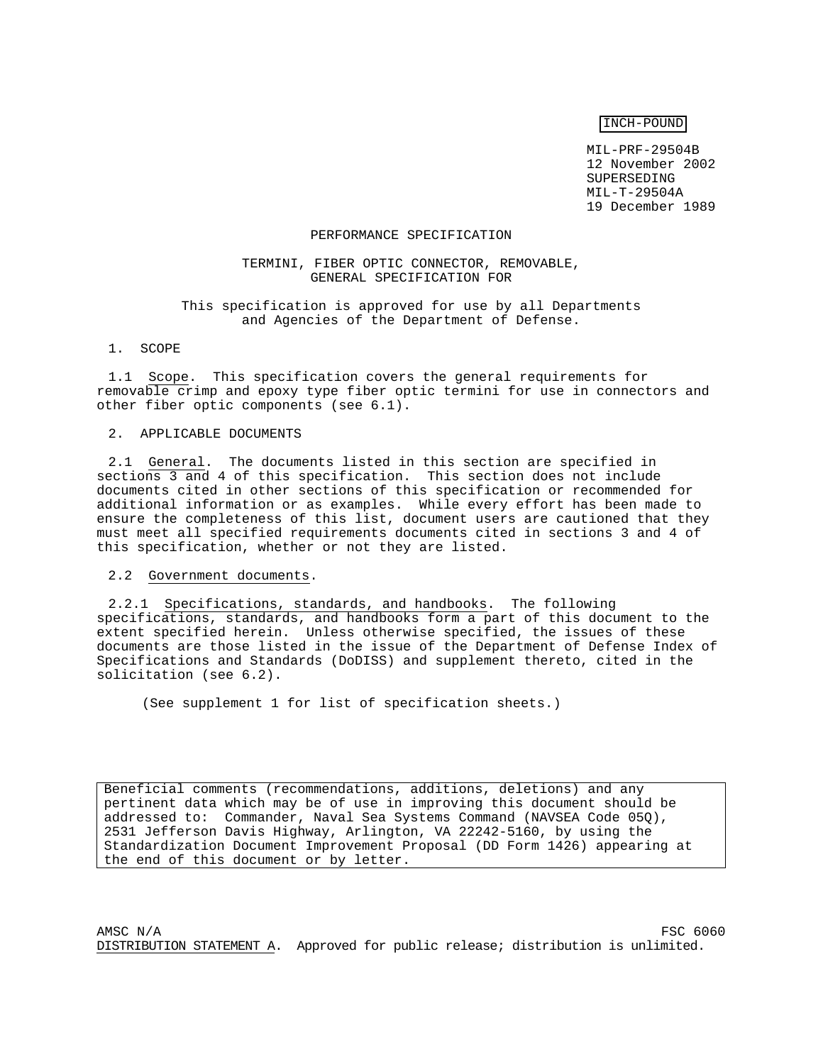INCH-POUND

MIL-PRF-29504B 12 November 2002 SUPERSEDING MIL-T-29504A 19 December 1989

#### PERFORMANCE SPECIFICATION

## TERMINI, FIBER OPTIC CONNECTOR, REMOVABLE, GENERAL SPECIFICATION FOR

### This specification is approved for use by all Departments and Agencies of the Department of Defense.

#### 1. SCOPE

1.1 Scope. This specification covers the general requirements for removable crimp and epoxy type fiber optic termini for use in connectors and other fiber optic components (see 6.1).

#### 2. APPLICABLE DOCUMENTS

2.1 General. The documents listed in this section are specified in sections 3 and 4 of this specification. This section does not include documents cited in other sections of this specification or recommended for additional information or as examples. While every effort has been made to ensure the completeness of this list, document users are cautioned that they must meet all specified requirements documents cited in sections 3 and 4 of this specification, whether or not they are listed.

## 2.2 Government documents.

2.2.1 Specifications, standards, and handbooks. The following specifications, standards, and handbooks form a part of this document to the extent specified herein. Unless otherwise specified, the issues of these documents are those listed in the issue of the Department of Defense Index of Specifications and Standards (DoDISS) and supplement thereto, cited in the solicitation (see 6.2).

(See supplement 1 for list of specification sheets.)

Beneficial comments (recommendations, additions, deletions) and any pertinent data which may be of use in improving this document should be addressed to: Commander, Naval Sea Systems Command (NAVSEA Code 05Q), 2531 Jefferson Davis Highway, Arlington, VA 22242-5160, by using the Standardization Document Improvement Proposal (DD Form 1426) appearing at the end of this document or by letter.

 $MSC$   $N/A$   $FSC$  6060 DISTRIBUTION STATEMENT A. Approved for public release; distribution is unlimited.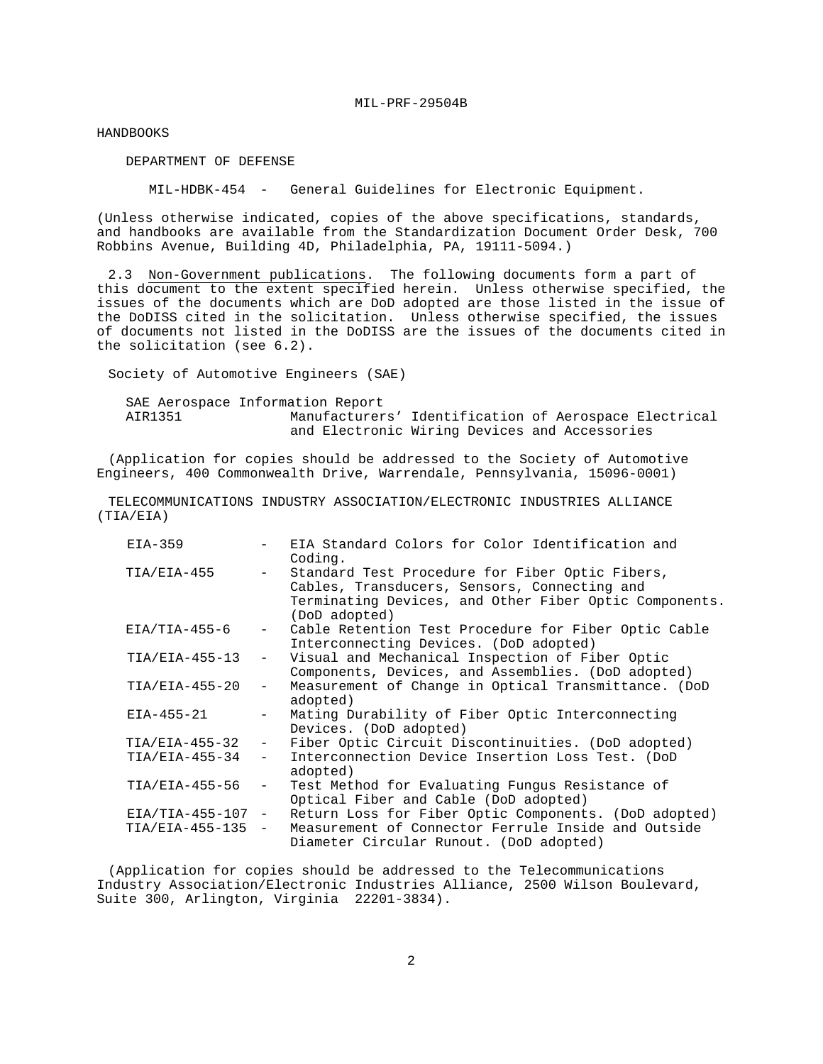HANDBOOKS

DEPARTMENT OF DEFENSE

MIL-HDBK-454 - General Guidelines for Electronic Equipment.

(Unless otherwise indicated, copies of the above specifications, standards, and handbooks are available from the Standardization Document Order Desk, 700 Robbins Avenue, Building 4D, Philadelphia, PA, 19111-5094.)

2.3 Non-Government publications. The following documents form a part of this document to the extent specified herein. Unless otherwise specified, the issues of the documents which are DoD adopted are those listed in the issue of the DoDISS cited in the solicitation. Unless otherwise specified, the issues of documents not listed in the DoDISS are the issues of the documents cited in the solicitation (see 6.2).

Society of Automotive Engineers (SAE)

 SAE Aerospace Information Report AIR1351 Manufacturers' Identification of Aerospace Electrical and Electronic Wiring Devices and Accessories

(Application for copies should be addressed to the Society of Automotive Engineers, 400 Commonwealth Drive, Warrendale, Pennsylvania, 15096-0001)

TELECOMMUNICATIONS INDUSTRY ASSOCIATION/ELECTRONIC INDUSTRIES ALLIANCE (TIA/EIA)

| $EIA-359$           |                                 | EIA Standard Colors for Color Identification and<br>Coding.                                                                                                                |
|---------------------|---------------------------------|----------------------------------------------------------------------------------------------------------------------------------------------------------------------------|
| TIA/EIA-455         | $\frac{1}{2}$ and $\frac{1}{2}$ | Standard Test Procedure for Fiber Optic Fibers,<br>Cables, Transducers, Sensors, Connecting and<br>Terminating Devices, and Other Fiber Optic Components.<br>(DoD adopted) |
| $EIA/TIA-455-6$     | $\sim$                          | Cable Retention Test Procedure for Fiber Optic Cable<br>Interconnecting Devices. (DoD adopted)                                                                             |
| TIA/EIA-455-13      | $ \,$                           | Visual and Mechanical Inspection of Fiber Optic<br>Components, Devices, and Assemblies. (DoD adopted)                                                                      |
| $TIA/ELA-455-20$    | $\sim$                          | Measurement of Change in Optical Transmittance. (DoD<br>adopted)                                                                                                           |
| EIA-455-21          | $-$                             | Mating Durability of Fiber Optic Interconnecting<br>Devices. (DoD adopted)                                                                                                 |
| TIA/EIA-455-32      | $ \,$                           | Fiber Optic Circuit Discontinuities. (DoD adopted)                                                                                                                         |
| $TIA/ELA-455-34$    | $-$                             | Interconnection Device Insertion Loss Test. (DoD<br>adopted)                                                                                                               |
| TIA/EIA-455-56      | $ \,$                           | Test Method for Evaluating Fungus Resistance of<br>Optical Fiber and Cable (DoD adopted)                                                                                   |
| $EIA/TIA-455-107$ - |                                 | Return Loss for Fiber Optic Components. (DoD adopted)                                                                                                                      |
| $TIA/EIA-455-135 -$ |                                 | Measurement of Connector Ferrule Inside and Outside<br>Diameter Circular Runout. (DoD adopted)                                                                             |

(Application for copies should be addressed to the Telecommunications Industry Association/Electronic Industries Alliance, 2500 Wilson Boulevard, Suite 300, Arlington, Virginia 22201-3834).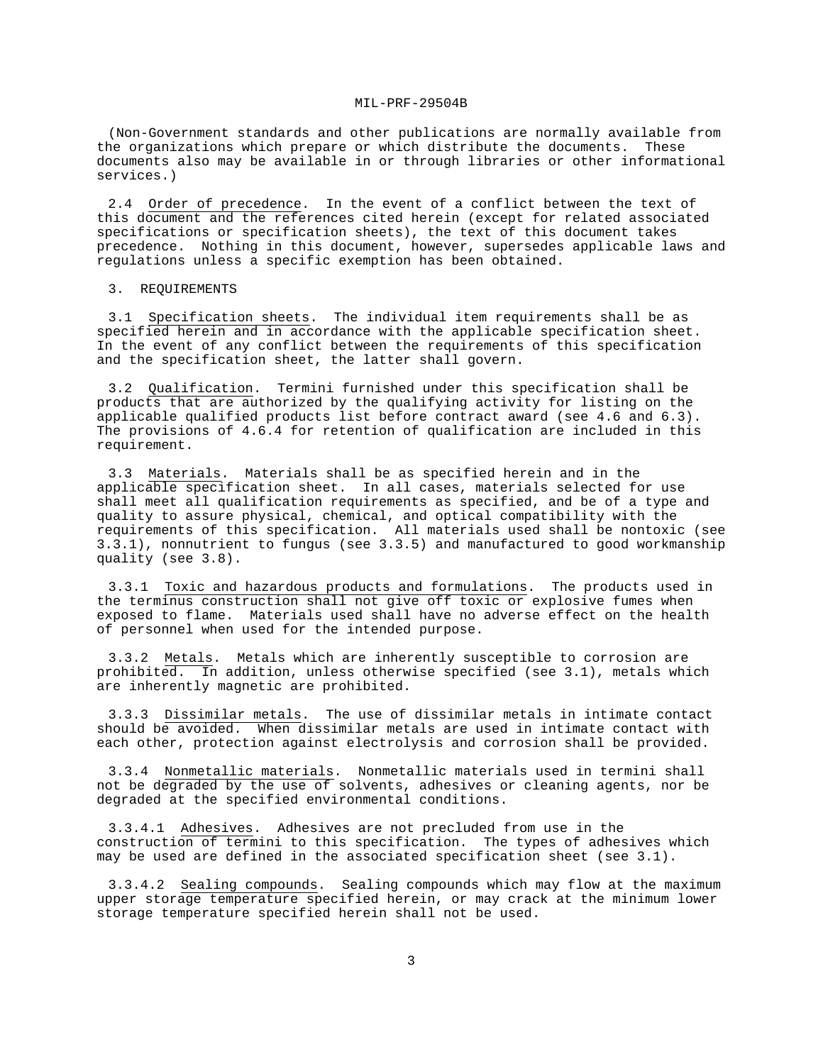(Non-Government standards and other publications are normally available from the organizations which prepare or which distribute the documents. These documents also may be available in or through libraries or other informational services.)

2.4 Order of precedence. In the event of a conflict between the text of this document and the references cited herein (except for related associated specifications or specification sheets), the text of this document takes precedence. Nothing in this document, however, supersedes applicable laws and regulations unless a specific exemption has been obtained.

3. REQUIREMENTS

3.1 Specification sheets. The individual item requirements shall be as specified herein and in accordance with the applicable specification sheet. In the event of any conflict between the requirements of this specification and the specification sheet, the latter shall govern.

3.2 Qualification. Termini furnished under this specification shall be products that are authorized by the qualifying activity for listing on the applicable qualified products list before contract award (see 4.6 and 6.3). The provisions of 4.6.4 for retention of qualification are included in this requirement.

3.3 Materials. Materials shall be as specified herein and in the applicable specification sheet. In all cases, materials selected for use shall meet all qualification requirements as specified, and be of a type and quality to assure physical, chemical, and optical compatibility with the requirements of this specification. All materials used shall be nontoxic (see 3.3.1), nonnutrient to fungus (see 3.3.5) and manufactured to good workmanship quality (see 3.8).

3.3.1 Toxic and hazardous products and formulations. The products used in the terminus construction shall not give off toxic or explosive fumes when exposed to flame. Materials used shall have no adverse effect on the health of personnel when used for the intended purpose.

3.3.2 Metals. Metals which are inherently susceptible to corrosion are prohibited. In addition, unless otherwise specified (see 3.1), metals which are inherently magnetic are prohibited.

3.3.3 Dissimilar metals. The use of dissimilar metals in intimate contact should be avoided. When dissimilar metals are used in intimate contact with each other, protection against electrolysis and corrosion shall be provided.

3.3.4 Nonmetallic materials. Nonmetallic materials used in termini shall not be degraded by the use of solvents, adhesives or cleaning agents, nor be degraded at the specified environmental conditions.

3.3.4.1 Adhesives. Adhesives are not precluded from use in the construction of termini to this specification. The types of adhesives which may be used are defined in the associated specification sheet (see 3.1).

3.3.4.2 Sealing compounds. Sealing compounds which may flow at the maximum upper storage temperature specified herein, or may crack at the minimum lower storage temperature specified herein shall not be used.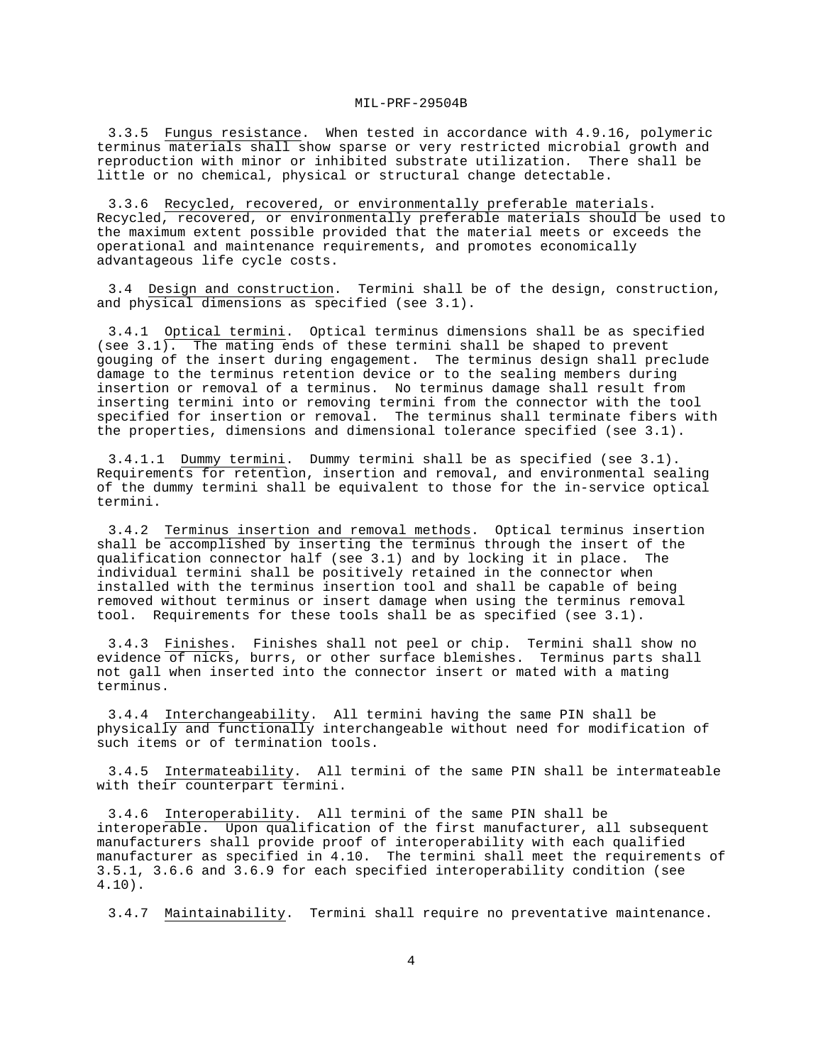3.3.5 Fungus resistance. When tested in accordance with 4.9.16, polymeric terminus materials shall show sparse or very restricted microbial growth and reproduction with minor or inhibited substrate utilization. There shall be little or no chemical, physical or structural change detectable.

3.3.6 Recycled, recovered, or environmentally preferable materials. Recycled, recovered, or environmentally preferable materials should be used to the maximum extent possible provided that the material meets or exceeds the operational and maintenance requirements, and promotes economically advantageous life cycle costs.

3.4 Design and construction. Termini shall be of the design, construction, and physical dimensions as specified (see 3.1).

3.4.1 Optical termini. Optical terminus dimensions shall be as specified (see  $3.1$ ). The mating ends of these termini shall be shaped to prevent gouging of the insert during engagement. The terminus design shall preclude damage to the terminus retention device or to the sealing members during insertion or removal of a terminus. No terminus damage shall result from inserting termini into or removing termini from the connector with the tool specified for insertion or removal. The terminus shall terminate fibers with the properties, dimensions and dimensional tolerance specified (see 3.1).

3.4.1.1 Dummy termini. Dummy termini shall be as specified (see 3.1). Requirements for retention, insertion and removal, and environmental sealing of the dummy termini shall be equivalent to those for the in-service optical termini.

3.4.2 Terminus insertion and removal methods. Optical terminus insertion shall be accomplished by inserting the terminus through the insert of the qualification connector half (see 3.1) and by locking it in place. The individual termini shall be positively retained in the connector when installed with the terminus insertion tool and shall be capable of being removed without terminus or insert damage when using the terminus removal tool. Requirements for these tools shall be as specified (see 3.1).

3.4.3 Finishes. Finishes shall not peel or chip. Termini shall show no evidence of nicks, burrs, or other surface blemishes. Terminus parts shall not gall when inserted into the connector insert or mated with a mating terminus.

3.4.4 Interchangeability. All termini having the same PIN shall be physically and functionally interchangeable without need for modification of such items or of termination tools.

3.4.5 Intermateability. All termini of the same PIN shall be intermateable with their counterpart termini.

3.4.6 Interoperability. All termini of the same PIN shall be interoperable. Upon qualification of the first manufacturer, all subsequent manufacturers shall provide proof of interoperability with each qualified manufacturer as specified in 4.10. The termini shall meet the requirements of 3.5.1, 3.6.6 and 3.6.9 for each specified interoperability condition (see 4.10).

3.4.7 Maintainability. Termini shall require no preventative maintenance.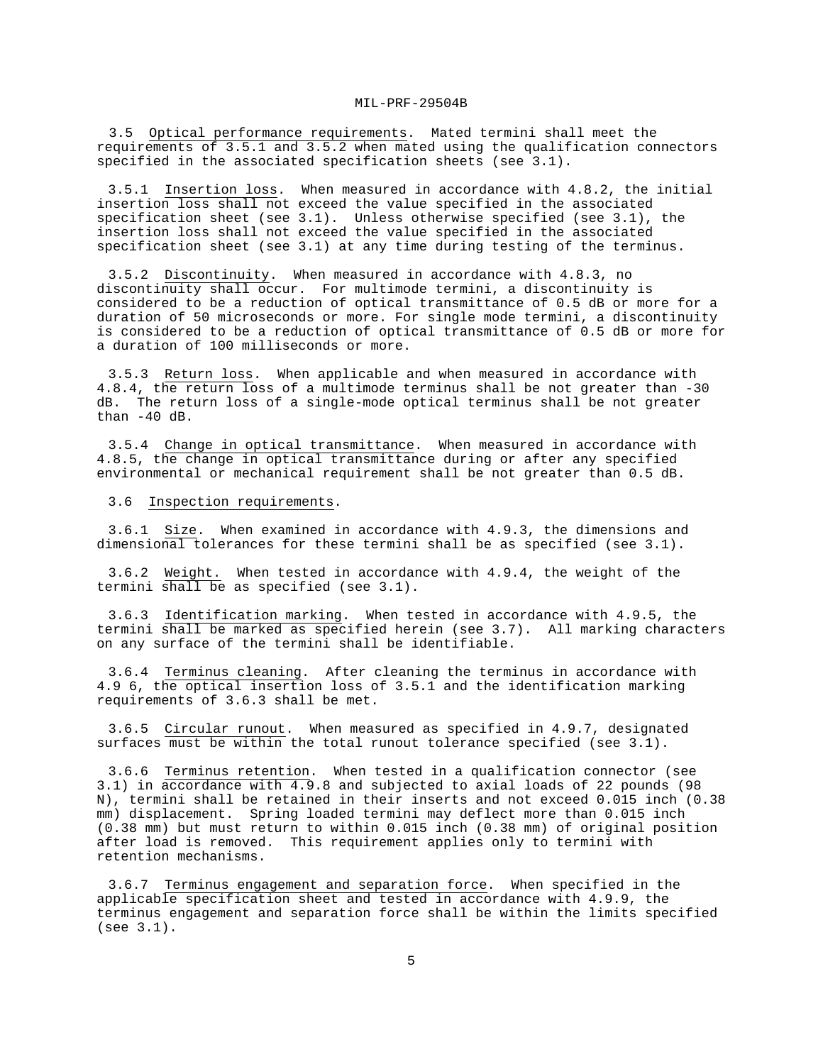3.5 Optical performance requirements. Mated termini shall meet the requirements of 3.5.1 and 3.5.2 when mated using the qualification connectors specified in the associated specification sheets (see 3.1).

3.5.1 Insertion loss. When measured in accordance with 4.8.2, the initial insertion loss shall not exceed the value specified in the associated specification sheet (see 3.1). Unless otherwise specified (see 3.1), the insertion loss shall not exceed the value specified in the associated specification sheet (see 3.1) at any time during testing of the terminus.

3.5.2 Discontinuity. When measured in accordance with 4.8.3, no discontinuity shall occur. For multimode termini, a discontinuity is considered to be a reduction of optical transmittance of 0.5 dB or more for a duration of 50 microseconds or more. For single mode termini, a discontinuity is considered to be a reduction of optical transmittance of 0.5 dB or more for a duration of 100 milliseconds or more.

3.5.3 Return loss. When applicable and when measured in accordance with 4.8.4, the return loss of a multimode terminus shall be not greater than -30 dB. The return loss of a single-mode optical terminus shall be not greater than -40 dB.

3.5.4 Change in optical transmittance. When measured in accordance with 4.8.5, the change in optical transmittance during or after any specified environmental or mechanical requirement shall be not greater than 0.5 dB.

3.6 Inspection requirements.

3.6.1 Size. When examined in accordance with 4.9.3, the dimensions and dimensional tolerances for these termini shall be as specified (see 3.1).

3.6.2 Weight. When tested in accordance with 4.9.4, the weight of the termini shall be as specified (see 3.1).

3.6.3 Identification marking. When tested in accordance with 4.9.5, the termini shall be marked as specified herein (see 3.7). All marking characters on any surface of the termini shall be identifiable.

3.6.4 Terminus cleaning. After cleaning the terminus in accordance with 4.9 6, the optical insertion loss of 3.5.1 and the identification marking requirements of 3.6.3 shall be met.

3.6.5 Circular runout. When measured as specified in 4.9.7, designated surfaces must be within the total runout tolerance specified (see 3.1).

3.6.6 Terminus retention. When tested in a qualification connector (see 3.1) in accordance with 4.9.8 and subjected to axial loads of 22 pounds (98 N), termini shall be retained in their inserts and not exceed 0.015 inch (0.38 mm) displacement. Spring loaded termini may deflect more than 0.015 inch (0.38 mm) but must return to within 0.015 inch (0.38 mm) of original position after load is removed. This requirement applies only to termini with retention mechanisms.

3.6.7 Terminus engagement and separation force. When specified in the applicable specification sheet and tested in accordance with 4.9.9, the terminus engagement and separation force shall be within the limits specified (see 3.1).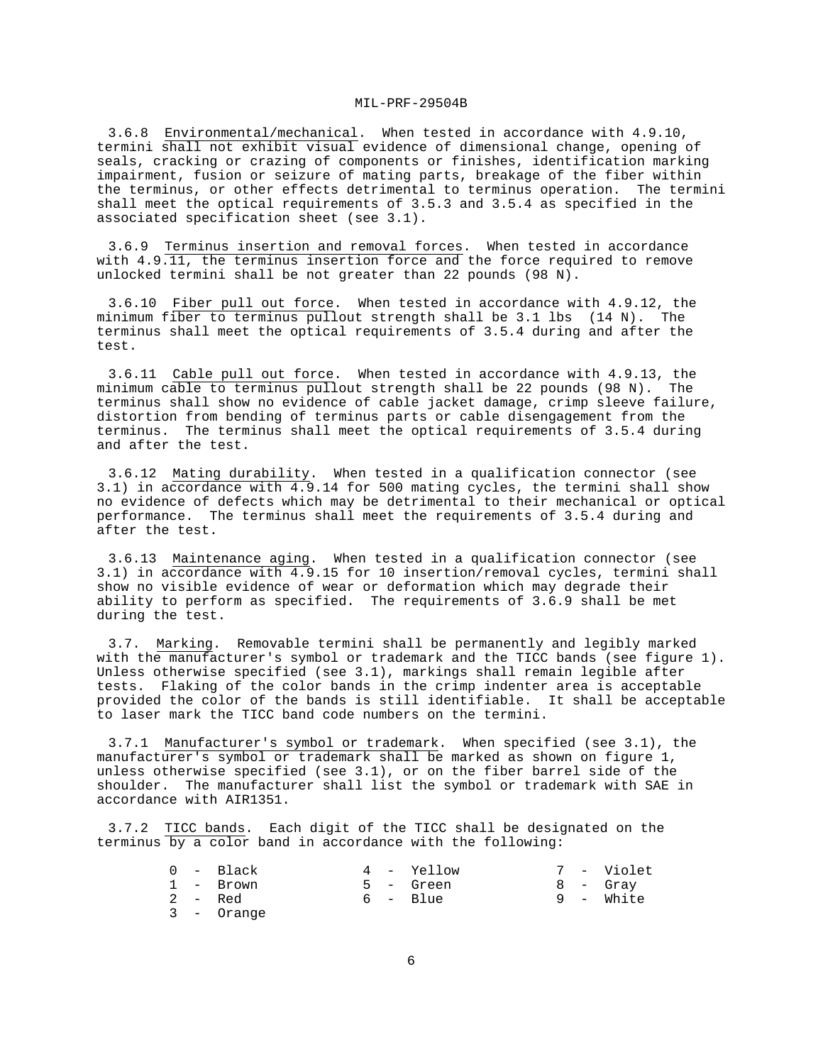3.6.8 Environmental/mechanical. When tested in accordance with 4.9.10, termini shall not exhibit visual evidence of dimensional change, opening of seals, cracking or crazing of components or finishes, identification marking impairment, fusion or seizure of mating parts, breakage of the fiber within the terminus, or other effects detrimental to terminus operation. The termini shall meet the optical requirements of 3.5.3 and 3.5.4 as specified in the associated specification sheet (see 3.1).

3.6.9 Terminus insertion and removal forces. When tested in accordance with 4.9.11, the terminus insertion force and the force required to remove unlocked termini shall be not greater than 22 pounds (98 N).

3.6.10 Fiber pull out force. When tested in accordance with 4.9.12, the minimum fiber to terminus pullout strength shall be 3.1 lbs (14 N). The terminus shall meet the optical requirements of 3.5.4 during and after the test.

3.6.11 Cable pull out force. When tested in accordance with 4.9.13, the minimum cable to terminus pullout strength shall be 22 pounds (98 N). The terminus shall show no evidence of cable jacket damage, crimp sleeve failure, distortion from bending of terminus parts or cable disengagement from the terminus. The terminus shall meet the optical requirements of 3.5.4 during and after the test.

3.6.12 Mating durability. When tested in a qualification connector (see 3.1) in accordance with 4.9.14 for 500 mating cycles, the termini shall show no evidence of defects which may be detrimental to their mechanical or optical performance. The terminus shall meet the requirements of 3.5.4 during and after the test.

3.6.13 Maintenance aging. When tested in a qualification connector (see 3.1) in accordance with 4.9.15 for 10 insertion/removal cycles, termini shall show no visible evidence of wear or deformation which may degrade their ability to perform as specified. The requirements of 3.6.9 shall be met during the test.

3.7. Marking. Removable termini shall be permanently and legibly marked with the manufacturer's symbol or trademark and the TICC bands (see figure 1). Unless otherwise specified (see 3.1), markings shall remain legible after tests. Flaking of the color bands in the crimp indenter area is acceptable provided the color of the bands is still identifiable. It shall be acceptable to laser mark the TICC band code numbers on the termini.

3.7.1 Manufacturer's symbol or trademark. When specified (see 3.1), the manufacturer's symbol or trademark shall be marked as shown on figure 1, unless otherwise specified (see 3.1), or on the fiber barrel side of the shoulder. The manufacturer shall list the symbol or trademark with SAE in accordance with AIR1351.

3.7.2 TICC bands. Each digit of the TICC shall be designated on the terminus by a color band in accordance with the following:

|  | $0 -$ Black |  | 4 - Yellow |  | 7 - Violet |
|--|-------------|--|------------|--|------------|
|  | 1 - Brown   |  | 5 - Green  |  | 8 - Grav   |
|  | 2 – Red     |  | 6 - Blue   |  | 9 - White  |
|  | 3 - Orange  |  |            |  |            |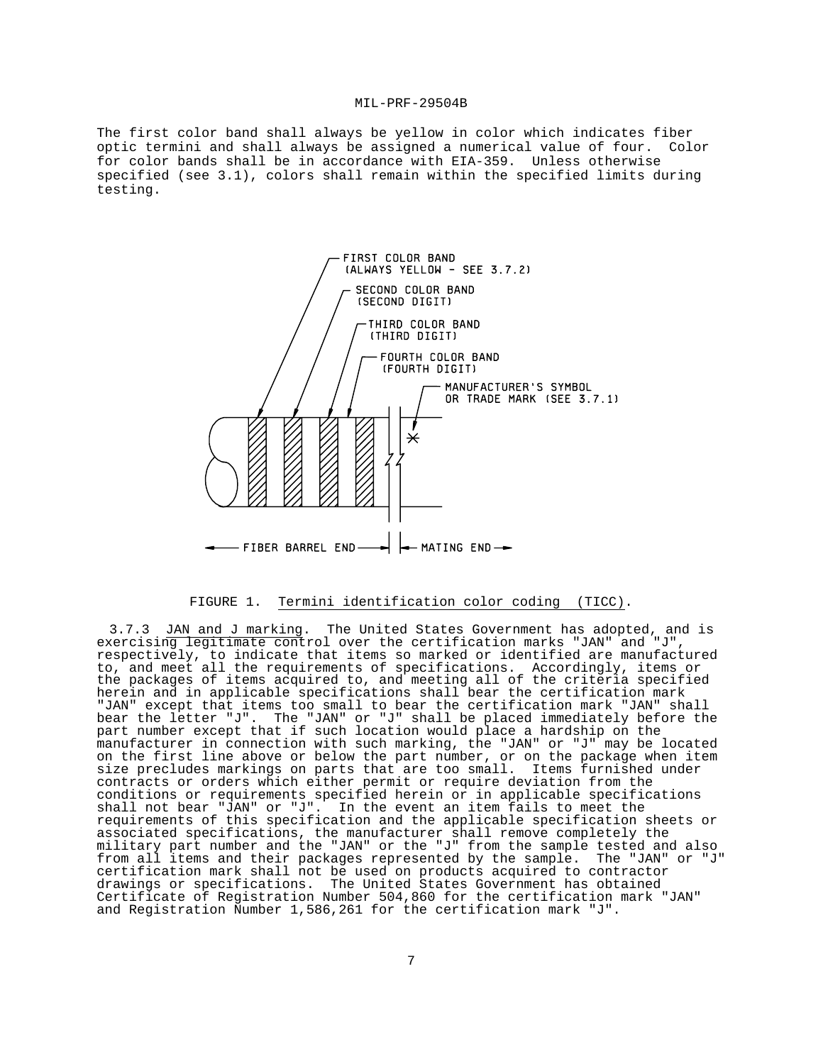The first color band shall always be yellow in color which indicates fiber optic termini and shall always be assigned a numerical value of four. Color for color bands shall be in accordance with EIA-359. Unless otherwise specified (see 3.1), colors shall remain within the specified limits during testing.



#### FIGURE 1. Termini identification color coding (TICC).

3.7.3 JAN and J marking. The United States Government has adopted, and is exercising legitimate control over the certification marks "JAN" and "J", respectively, to indicate that items so marked or identified are manufactured to, and meet all the requirements of specifications. Accordingly, items or the packages of items acquired to, and meeting all of the criteria specified herein and in applicable specifications shall bear the certification mark "JAN" except that items too small to bear the certification mark "JAN" shall bear the letter "J". The "JAN" or "J" shall be placed immediately before the part number except that if such location would place a hardship on the manufacturer in connection with such marking, the "JAN" or "J" may be located on the first line above or below the part number, or on the package when item size precludes markings on parts that are too small. Items furnished under contracts or orders which either permit or require deviation from the conditions or requirements specified herein or in applicable specifications shall not bear "JAN" or "J". In the event an item fails to meet the requirements of this specification and the applicable specification sheets or associated specifications, the manufacturer shall remove completely the military part number and the "JAN" or the "J" from the sample tested and also from all items and their packages represented by the sample. The "JAN" or "J" certification mark shall not be used on products acquired to contractor drawings or specifications. The United States Government has obtained Certificate of Registration Number 504,860 for the certification mark "JAN" and Registration Number 1,586,261 for the certification mark "J".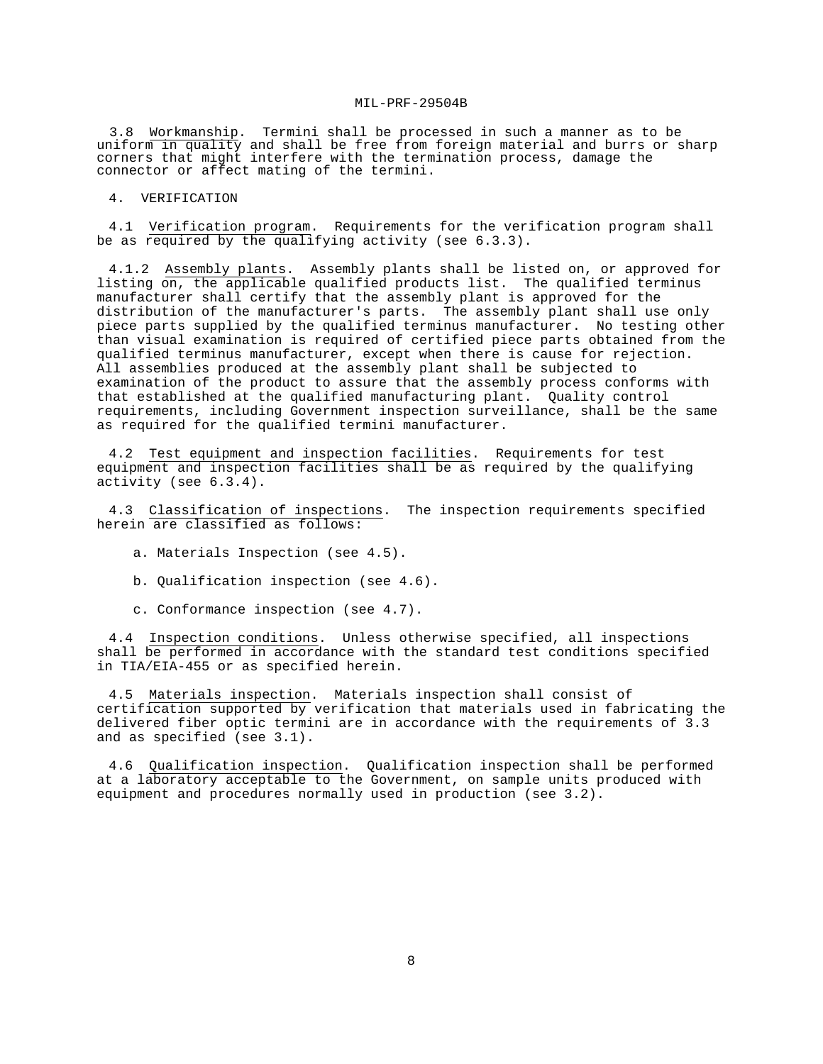3.8 Workmanship. Termini shall be processed in such a manner as to be uniform in quality and shall be free from foreign material and burrs or sharp corners that might interfere with the termination process, damage the connector or affect mating of the termini.

4. VERIFICATION

4.1 Verification program. Requirements for the verification program shall be as required by the qualifying activity (see  $6.3.3$ ).

4.1.2 Assembly plants. Assembly plants shall be listed on, or approved for listing on, the applicable qualified products list. The qualified terminus manufacturer shall certify that the assembly plant is approved for the distribution of the manufacturer's parts. The assembly plant shall use only piece parts supplied by the qualified terminus manufacturer. No testing other than visual examination is required of certified piece parts obtained from the qualified terminus manufacturer, except when there is cause for rejection. All assemblies produced at the assembly plant shall be subjected to examination of the product to assure that the assembly process conforms with that established at the qualified manufacturing plant. Quality control requirements, including Government inspection surveillance, shall be the same as required for the qualified termini manufacturer.

4.2 Test equipment and inspection facilities. Requirements for test equipment and inspection facilities shall be as required by the qualifying activity (see 6.3.4).

4.3 Classification of inspections. The inspection requirements specified herein are classified as follows:

a. Materials Inspection (see 4.5).

b. Qualification inspection (see 4.6).

c. Conformance inspection (see 4.7).

4.4 Inspection conditions. Unless otherwise specified, all inspections shall be performed in accordance with the standard test conditions specified in TIA/EIA-455 or as specified herein.

4.5 Materials inspection. Materials inspection shall consist of certification supported by verification that materials used in fabricating the delivered fiber optic termini are in accordance with the requirements of 3.3 and as specified (see 3.1).

4.6 Qualification inspection. Qualification inspection shall be performed at a laboratory acceptable to the Government, on sample units produced with equipment and procedures normally used in production (see 3.2).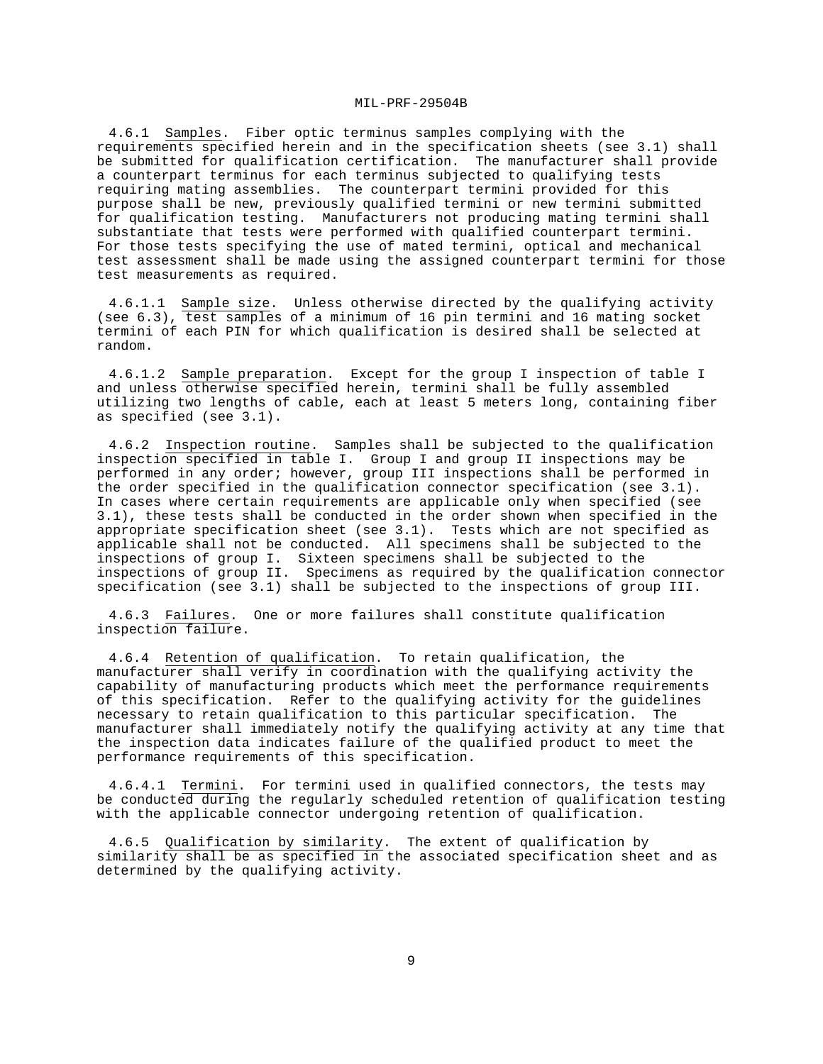4.6.1 Samples. Fiber optic terminus samples complying with the requirements specified herein and in the specification sheets (see 3.1) shall be submitted for qualification certification. The manufacturer shall provide a counterpart terminus for each terminus subjected to qualifying tests requiring mating assemblies. The counterpart termini provided for this purpose shall be new, previously qualified termini or new termini submitted for qualification testing. Manufacturers not producing mating termini shall substantiate that tests were performed with qualified counterpart termini. For those tests specifying the use of mated termini, optical and mechanical test assessment shall be made using the assigned counterpart termini for those test measurements as required.

4.6.1.1 Sample size. Unless otherwise directed by the qualifying activity (see 6.3), test samples of a minimum of 16 pin termini and 16 mating socket termini of each PIN for which qualification is desired shall be selected at random.

4.6.1.2 Sample preparation. Except for the group I inspection of table I and unless otherwise specified herein, termini shall be fully assembled utilizing two lengths of cable, each at least 5 meters long, containing fiber as specified (see 3.1).

4.6.2 Inspection routine. Samples shall be subjected to the qualification inspection specified in table I. Group I and group II inspections may be performed in any order; however, group III inspections shall be performed in the order specified in the qualification connector specification (see 3.1). In cases where certain requirements are applicable only when specified (see 3.1), these tests shall be conducted in the order shown when specified in the appropriate specification sheet (see 3.1). Tests which are not specified as applicable shall not be conducted. All specimens shall be subjected to the inspections of group I. Sixteen specimens shall be subjected to the inspections of group II. Specimens as required by the qualification connector specification (see 3.1) shall be subjected to the inspections of group III.

4.6.3 Failures. One or more failures shall constitute qualification inspection failure.

4.6.4 Retention of qualification. To retain qualification, the manufacturer shall verify in coordination with the qualifying activity the capability of manufacturing products which meet the performance requirements of this specification. Refer to the qualifying activity for the guidelines necessary to retain qualification to this particular specification. The manufacturer shall immediately notify the qualifying activity at any time that the inspection data indicates failure of the qualified product to meet the performance requirements of this specification.

4.6.4.1 Termini. For termini used in qualified connectors, the tests may be conducted during the regularly scheduled retention of qualification testing with the applicable connector undergoing retention of qualification.

4.6.5 Qualification by similarity. The extent of qualification by similarity shall be as specified in the associated specification sheet and as determined by the qualifying activity.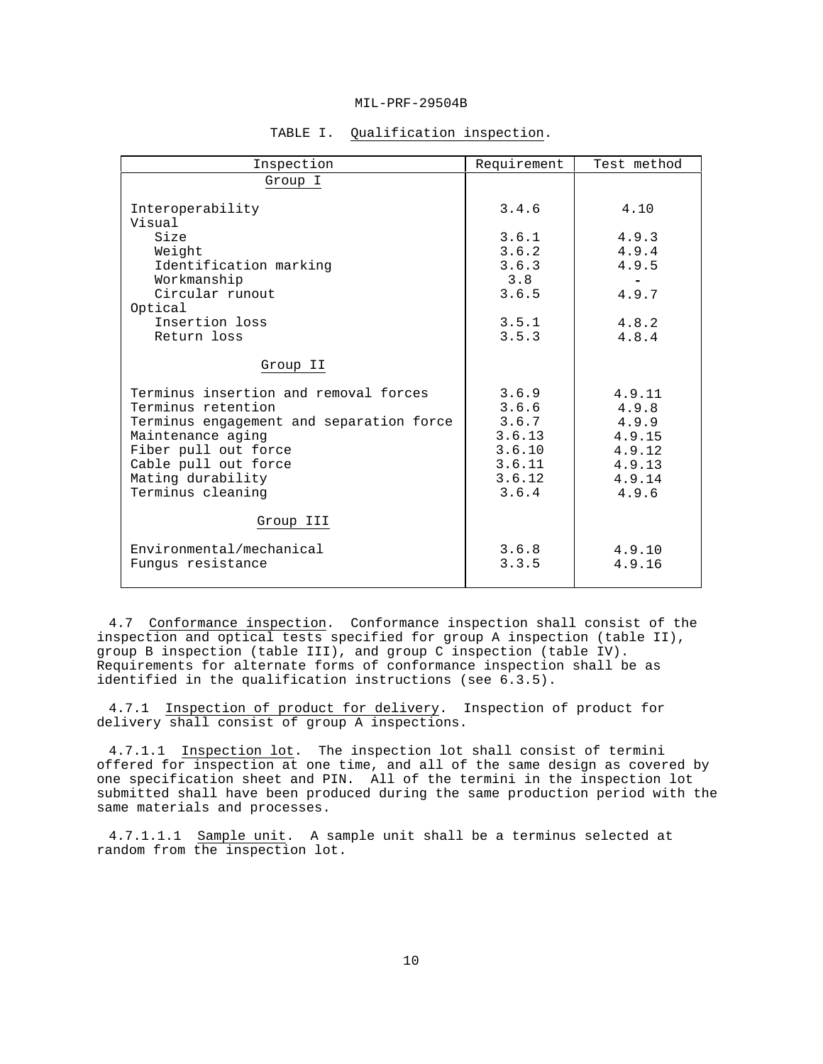| Inspection                                                                                                                                                                                                             | Requirement                                                              | Test method                                                               |
|------------------------------------------------------------------------------------------------------------------------------------------------------------------------------------------------------------------------|--------------------------------------------------------------------------|---------------------------------------------------------------------------|
| Group I                                                                                                                                                                                                                |                                                                          |                                                                           |
| Interoperability<br>Visual<br>Size<br>Weight<br>Identification marking<br>Workmanship<br>Circular runout<br>Optical<br>Insertion loss                                                                                  | 3.4.6<br>3.6.1<br>3.6.2<br>3.6.3<br>3.8<br>3.6.5<br>3.5.1                | 4.10<br>4.9.3<br>4.9.4<br>4.9.5<br>4.9.7<br>4.8.2                         |
| Return loss                                                                                                                                                                                                            | 3.5.3                                                                    | 4.8.4                                                                     |
| Group II                                                                                                                                                                                                               |                                                                          |                                                                           |
| Terminus insertion and removal forces<br>Terminus retention<br>Terminus engagement and separation force<br>Maintenance aging<br>Fiber pull out force<br>Cable pull out force<br>Mating durability<br>Terminus cleaning | 3.6.9<br>3.6.6<br>3.6.7<br>3.6.13<br>3.6.10<br>3.6.11<br>3.6.12<br>3.6.4 | 4.9.11<br>4.9.8<br>4.9.9<br>4.9.15<br>4.9.12<br>4.9.13<br>4.9.14<br>4.9.6 |
| Group III                                                                                                                                                                                                              |                                                                          |                                                                           |
| Environmental/mechanical<br>Fungus resistance                                                                                                                                                                          | 3.6.8<br>3.3.5                                                           | 4.9.10<br>4.9.16                                                          |

# TABLE I. Qualification inspection.

4.7 Conformance inspection. Conformance inspection shall consist of the inspection and optical tests specified for group A inspection (table II), group B inspection (table III), and group C inspection (table IV). Requirements for alternate forms of conformance inspection shall be as identified in the qualification instructions (see 6.3.5).

4.7.1 Inspection of product for delivery. Inspection of product for delivery shall consist of group A inspections.

4.7.1.1 Inspection lot. The inspection lot shall consist of termini offered for inspection at one time, and all of the same design as covered by one specification sheet and PIN. All of the termini in the inspection lot submitted shall have been produced during the same production period with the same materials and processes.

4.7.1.1.1 Sample unit. A sample unit shall be a terminus selected at random from the inspection lot.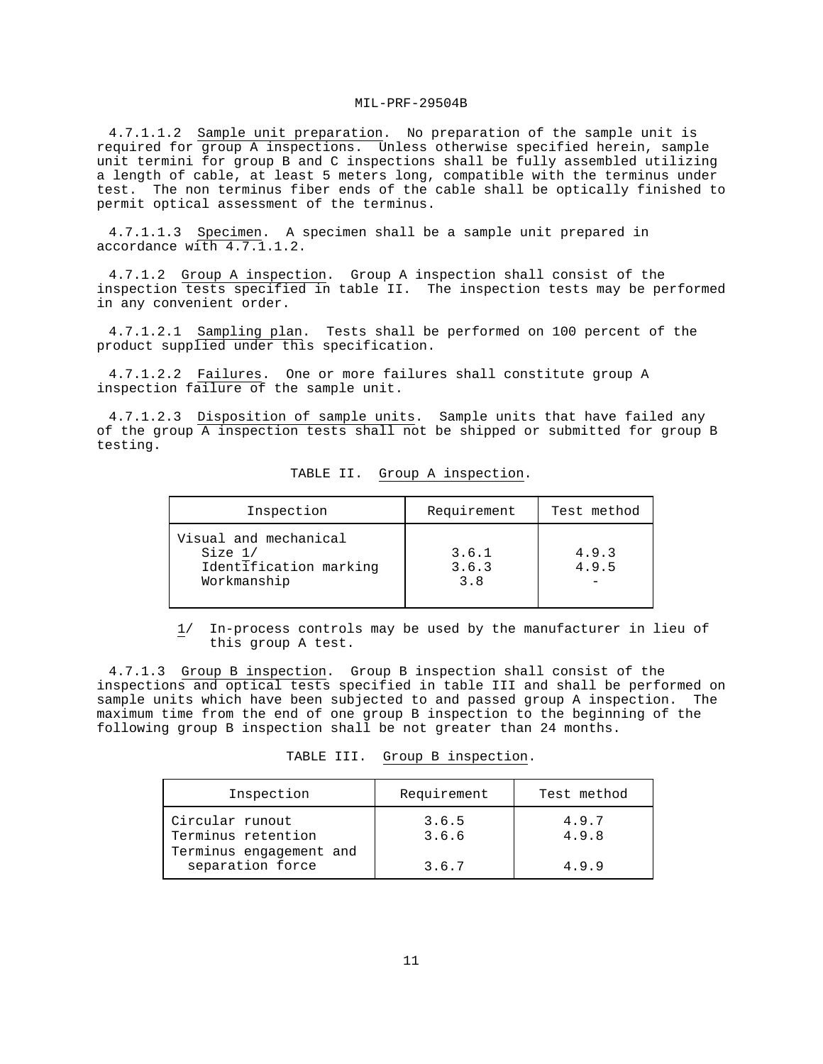4.7.1.1.2 Sample unit preparation. No preparation of the sample unit is required for group A inspections. Unless otherwise specified herein, sample unit termini for group B and C inspections shall be fully assembled utilizing a length of cable, at least 5 meters long, compatible with the terminus under test. The non terminus fiber ends of the cable shall be optically finished to permit optical assessment of the terminus.

4.7.1.1.3 Specimen. A specimen shall be a sample unit prepared in accordance with 4.7.1.1.2.

4.7.1.2 Group A inspection. Group A inspection shall consist of the inspection tests specified in table II. The inspection tests may be performed in any convenient order.

4.7.1.2.1 Sampling plan. Tests shall be performed on 100 percent of the product supplied under this specification.

4.7.1.2.2 Failures. One or more failures shall constitute group A inspection failure of the sample unit.

4.7.1.2.3 Disposition of sample units. Sample units that have failed any of the group A inspection tests shall not be shipped or submitted for group B testing.

| Inspection                                                                | Requirement           | Test method    |
|---------------------------------------------------------------------------|-----------------------|----------------|
| Visual and mechanical<br>Size 1/<br>Identification marking<br>Workmanship | 3.6.1<br>3.6.3<br>3.8 | 4.9.3<br>4.9.5 |

TABLE II. Group A inspection.

 1/ In-process controls may be used by the manufacturer in lieu of this group A test.

4.7.1.3 Group B inspection. Group B inspection shall consist of the inspections and optical tests specified in table III and shall be performed on sample units which have been subjected to and passed group A inspection. The maximum time from the end of one group B inspection to the beginning of the following group B inspection shall be not greater than 24 months.

| TABLE III. |  |  | Group B inspection. |  |
|------------|--|--|---------------------|--|
|------------|--|--|---------------------|--|

| Inspection                                  | Requirement    | Test method    |
|---------------------------------------------|----------------|----------------|
| Circular runout<br>Terminus retention       | 3.6.5<br>3.6.6 | 4.9.7<br>4.9.8 |
| Terminus engagement and<br>separation force | 3.6.7          | 4.9.9          |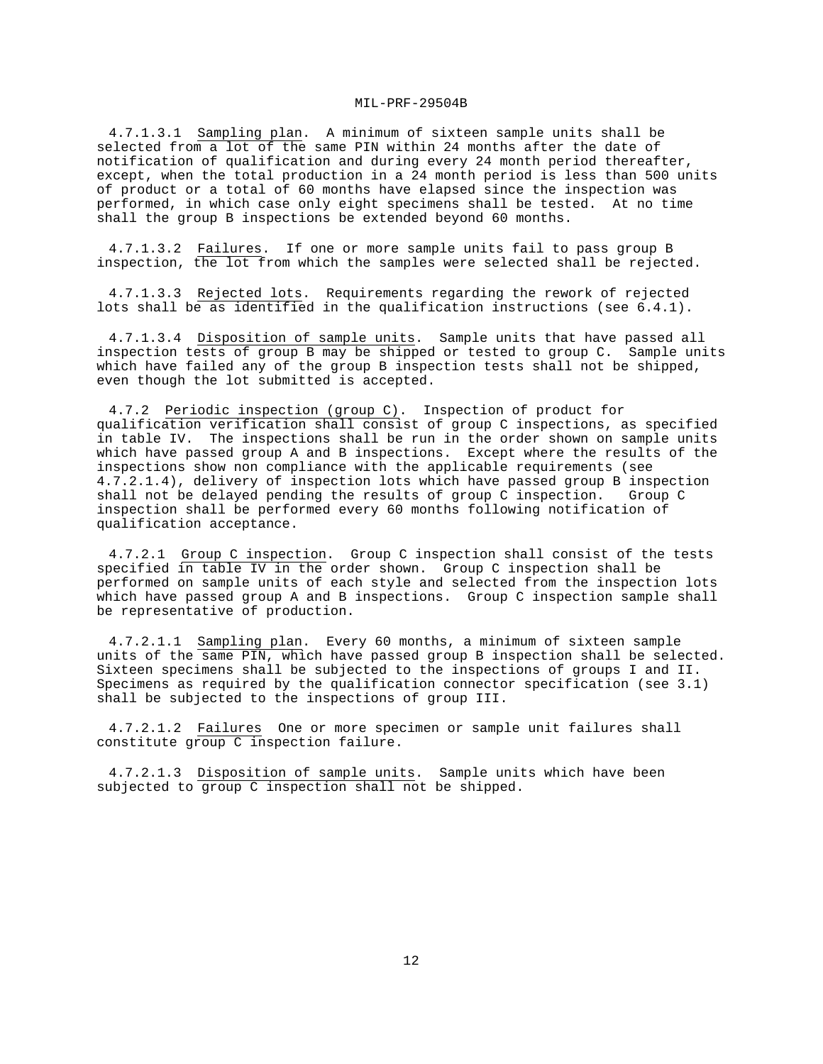4.7.1.3.1 Sampling plan. A minimum of sixteen sample units shall be selected from a lot of the same PIN within 24 months after the date of notification of qualification and during every 24 month period thereafter, except, when the total production in a 24 month period is less than 500 units of product or a total of 60 months have elapsed since the inspection was performed, in which case only eight specimens shall be tested. At no time shall the group B inspections be extended beyond 60 months.

4.7.1.3.2 Failures. If one or more sample units fail to pass group B inspection, the lot from which the samples were selected shall be rejected.

4.7.1.3.3 Rejected lots. Requirements regarding the rework of rejected lots shall be as identified in the qualification instructions (see 6.4.1).

4.7.1.3.4 Disposition of sample units. Sample units that have passed all inspection tests of group B may be shipped or tested to group C. Sample units which have failed any of the group B inspection tests shall not be shipped, even though the lot submitted is accepted.

4.7.2 Periodic inspection (group C). Inspection of product for qualification verification shall consist of group C inspections, as specified in table IV. The inspections shall be run in the order shown on sample units which have passed group A and B inspections. Except where the results of the inspections show non compliance with the applicable requirements (see 4.7.2.1.4), delivery of inspection lots which have passed group B inspection shall not be delayed pending the results of group C inspection. Group C inspection shall be performed every 60 months following notification of qualification acceptance.

4.7.2.1 Group C inspection. Group C inspection shall consist of the tests specified in table IV in the order shown. Group C inspection shall be performed on sample units of each style and selected from the inspection lots which have passed group A and B inspections. Group C inspection sample shall be representative of production.

4.7.2.1.1 Sampling plan. Every 60 months, a minimum of sixteen sample units of the same PIN, which have passed group B inspection shall be selected. Sixteen specimens shall be subjected to the inspections of groups I and II. Specimens as required by the qualification connector specification (see 3.1) shall be subjected to the inspections of group III.

4.7.2.1.2 Failures One or more specimen or sample unit failures shall constitute group C inspection failure.

4.7.2.1.3 Disposition of sample units. Sample units which have been subjected to group C inspection shall not be shipped.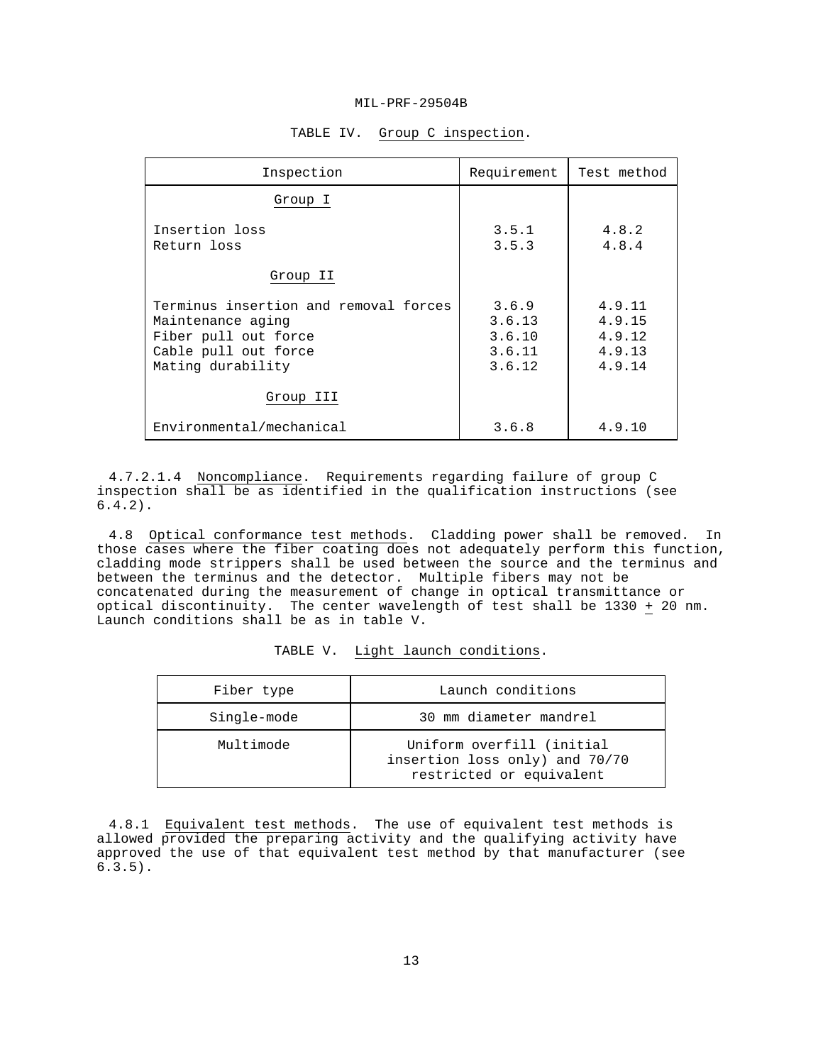| Inspection                                                                                                                      | Requirement                                   | Test method                                    |
|---------------------------------------------------------------------------------------------------------------------------------|-----------------------------------------------|------------------------------------------------|
| Group I                                                                                                                         |                                               |                                                |
| Insertion loss<br>Return loss                                                                                                   | 3.5.1<br>3.5.3                                | 4.8.2<br>4.8.4                                 |
| Group II                                                                                                                        |                                               |                                                |
| Terminus insertion and removal forces<br>Maintenance aging<br>Fiber pull out force<br>Cable pull out force<br>Mating durability | 3.6.9<br>3.6.13<br>3.6.10<br>3.6.11<br>3.6.12 | 4.9.11<br>4.9.15<br>4.9.12<br>4.9.13<br>4.9.14 |
| Group III                                                                                                                       |                                               |                                                |
| Environmental/mechanical                                                                                                        | 3.6.8                                         | 4.9.10                                         |

# TABLE IV. Group C inspection.

4.7.2.1.4 Noncompliance. Requirements regarding failure of group C inspection shall be as identified in the qualification instructions (see 6.4.2).

4.8 Optical conformance test methods. Cladding power shall be removed. In those cases where the fiber coating does not adequately perform this function, cladding mode strippers shall be used between the source and the terminus and between the terminus and the detector. Multiple fibers may not be concatenated during the measurement of change in optical transmittance or optical discontinuity. The center wavelength of test shall be 1330 + 20 nm. Launch conditions shall be as in table V.

| Fiber type  | Launch conditions                                                                       |
|-------------|-----------------------------------------------------------------------------------------|
| Single-mode | 30 mm diameter mandrel                                                                  |
| Multimode   | Uniform overfill (initial<br>insertion loss only) and 70/70<br>restricted or equivalent |

TABLE V. Light launch conditions.

4.8.1 Equivalent test methods. The use of equivalent test methods is allowed provided the preparing activity and the qualifying activity have approved the use of that equivalent test method by that manufacturer (see 6.3.5).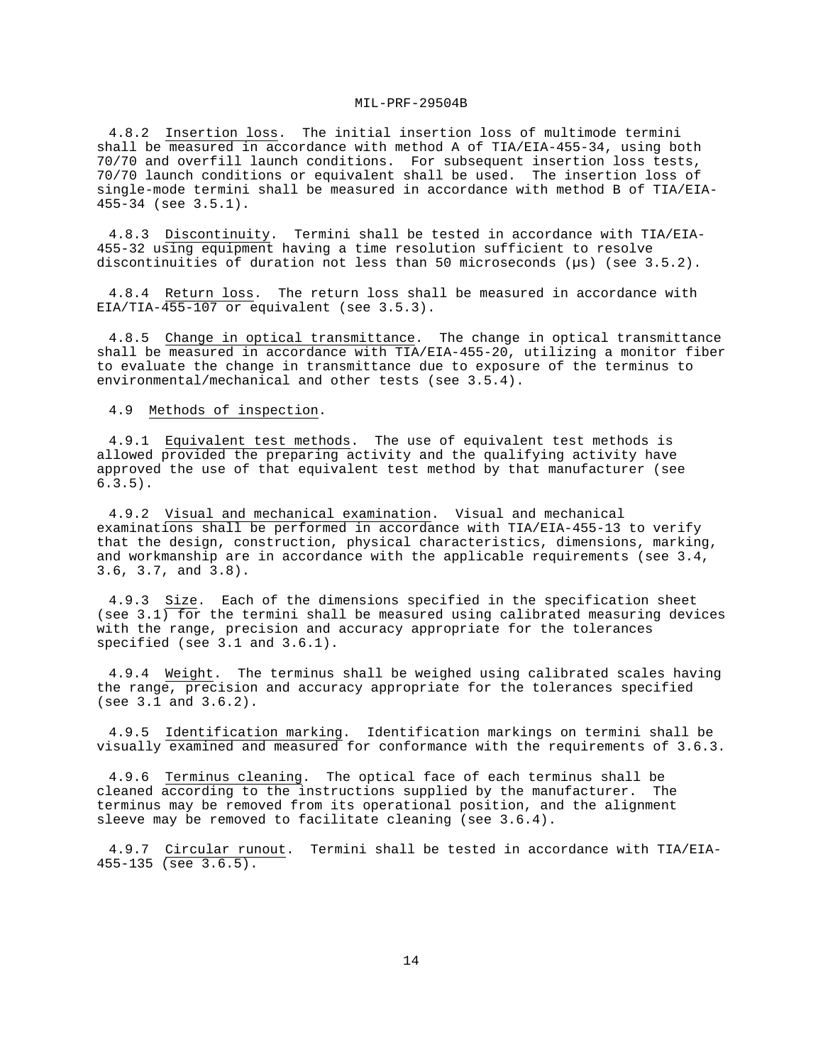4.8.2 Insertion loss. The initial insertion loss of multimode termini shall be measured in accordance with method A of TIA/EIA-455-34, using both 70/70 and overfill launch conditions. For subsequent insertion loss tests, 70/70 launch conditions or equivalent shall be used. The insertion loss of single-mode termini shall be measured in accordance with method B of TIA/EIA-455-34 (see 3.5.1).

4.8.3 Discontinuity. Termini shall be tested in accordance with TIA/EIA-455-32 using equipment having a time resolution sufficient to resolve discontinuities of duration not less than 50 microseconds ( $\mu$ s) (see 3.5.2).

4.8.4 Return loss. The return loss shall be measured in accordance with EIA/TIA-455-107 or equivalent (see 3.5.3).

4.8.5 Change in optical transmittance. The change in optical transmittance shall be measured in accordance with TIA/EIA-455-20, utilizing a monitor fiber to evaluate the change in transmittance due to exposure of the terminus to environmental/mechanical and other tests (see 3.5.4).

4.9 Methods of inspection.

4.9.1 Equivalent test methods. The use of equivalent test methods is allowed provided the preparing activity and the qualifying activity have approved the use of that equivalent test method by that manufacturer (see 6.3.5).

4.9.2 Visual and mechanical examination. Visual and mechanical examinations shall be performed in accordance with TIA/EIA-455-13 to verify that the design, construction, physical characteristics, dimensions, marking, and workmanship are in accordance with the applicable requirements (see 3.4, 3.6, 3.7, and 3.8).

4.9.3 Size. Each of the dimensions specified in the specification sheet (see 3.1) for the termini shall be measured using calibrated measuring devices with the range, precision and accuracy appropriate for the tolerances specified (see 3.1 and 3.6.1).

4.9.4 Weight. The terminus shall be weighed using calibrated scales having the range, precision and accuracy appropriate for the tolerances specified (see 3.1 and 3.6.2).

4.9.5 Identification marking. Identification markings on termini shall be visually examined and measured for conformance with the requirements of 3.6.3.

4.9.6 Terminus cleaning. The optical face of each terminus shall be cleaned according to the instructions supplied by the manufacturer. The terminus may be removed from its operational position, and the alignment sleeve may be removed to facilitate cleaning (see 3.6.4).

4.9.7 Circular runout. Termini shall be tested in accordance with TIA/EIA-455-135 (see 3.6.5).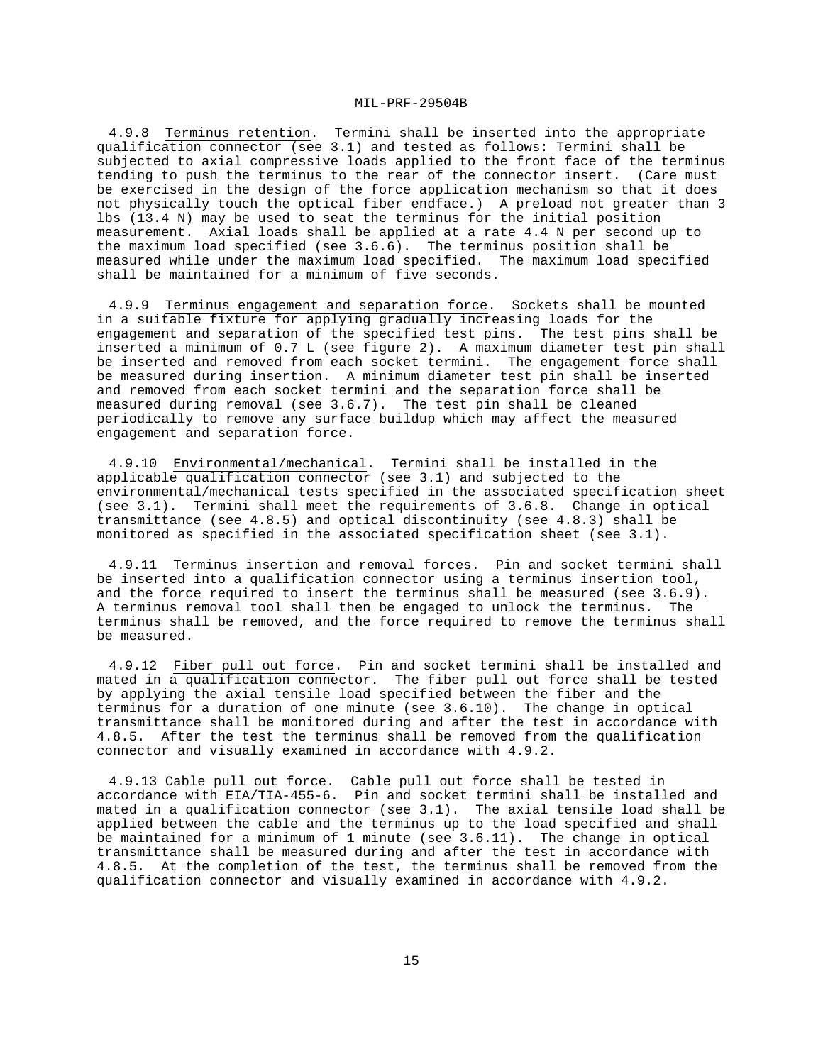4.9.8 Terminus retention. Termini shall be inserted into the appropriate qualification connector (see 3.1) and tested as follows: Termini shall be subjected to axial compressive loads applied to the front face of the terminus tending to push the terminus to the rear of the connector insert. (Care must be exercised in the design of the force application mechanism so that it does not physically touch the optical fiber endface.) A preload not greater than 3 lbs (13.4 N) may be used to seat the terminus for the initial position measurement. Axial loads shall be applied at a rate 4.4 N per second up to the maximum load specified (see 3.6.6). The terminus position shall be measured while under the maximum load specified. The maximum load specified shall be maintained for a minimum of five seconds.

4.9.9 Terminus engagement and separation force. Sockets shall be mounted in a suitable fixture for applying gradually increasing loads for the engagement and separation of the specified test pins. The test pins shall be inserted a minimum of 0.7 L (see figure 2). A maximum diameter test pin shall be inserted and removed from each socket termini. The engagement force shall be measured during insertion. A minimum diameter test pin shall be inserted and removed from each socket termini and the separation force shall be measured during removal (see 3.6.7). The test pin shall be cleaned periodically to remove any surface buildup which may affect the measured engagement and separation force.

4.9.10 Environmental/mechanical. Termini shall be installed in the applicable qualification connector (see 3.1) and subjected to the environmental/mechanical tests specified in the associated specification sheet (see 3.1). Termini shall meet the requirements of 3.6.8. Change in optical transmittance (see 4.8.5) and optical discontinuity (see 4.8.3) shall be monitored as specified in the associated specification sheet (see 3.1).

4.9.11 Terminus insertion and removal forces. Pin and socket termini shall be inserted into a qualification connector using a terminus insertion tool, and the force required to insert the terminus shall be measured (see 3.6.9). A terminus removal tool shall then be engaged to unlock the terminus. The terminus shall be removed, and the force required to remove the terminus shall be measured.

4.9.12 Fiber pull out force. Pin and socket termini shall be installed and mated in a qualification connector. The fiber pull out force shall be tested by applying the axial tensile load specified between the fiber and the terminus for a duration of one minute (see 3.6.10). The change in optical transmittance shall be monitored during and after the test in accordance with 4.8.5. After the test the terminus shall be removed from the qualification connector and visually examined in accordance with 4.9.2.

4.9.13 Cable pull out force. Cable pull out force shall be tested in accordance with EIA/TIA-455-6. Pin and socket termini shall be installed and mated in a qualification connector (see 3.1). The axial tensile load shall be applied between the cable and the terminus up to the load specified and shall be maintained for a minimum of 1 minute (see 3.6.11). The change in optical transmittance shall be measured during and after the test in accordance with 4.8.5. At the completion of the test, the terminus shall be removed from the qualification connector and visually examined in accordance with 4.9.2.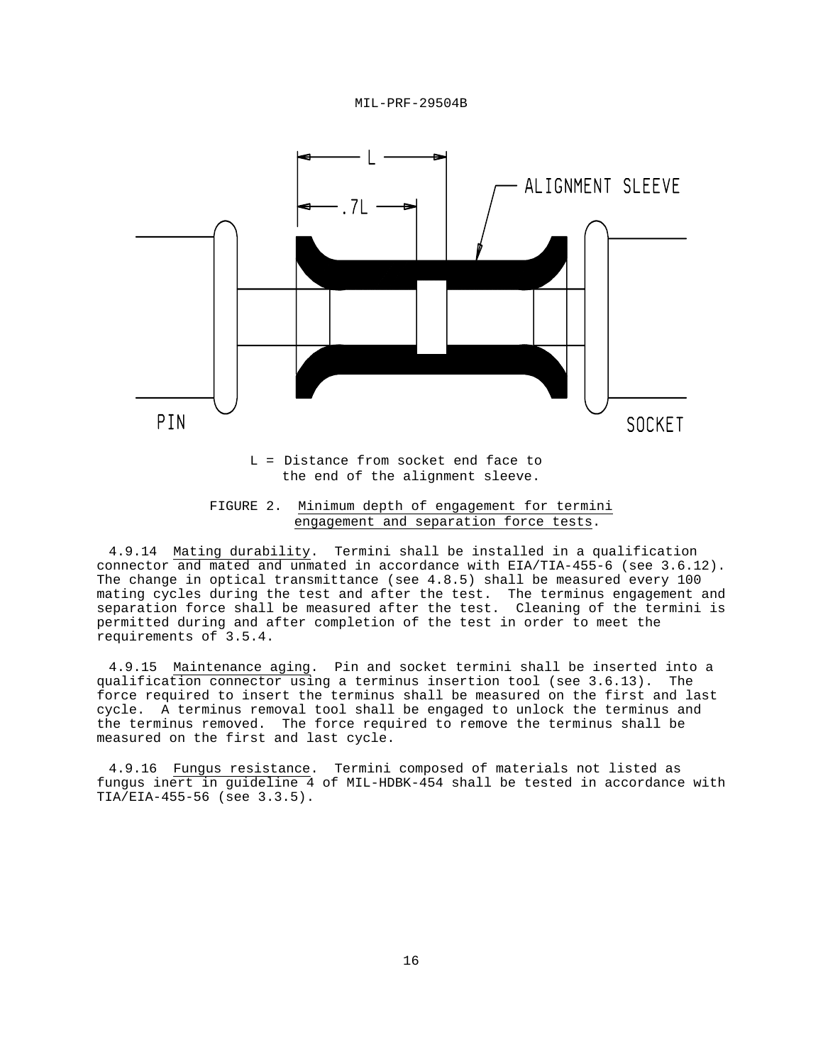



 L = Distance from socket end face to the end of the alignment sleeve.

4.9.14 Mating durability. Termini shall be installed in a qualification connector and mated and unmated in accordance with EIA/TIA-455-6 (see 3.6.12). The change in optical transmittance (see 4.8.5) shall be measured every 100 mating cycles during the test and after the test. The terminus engagement and separation force shall be measured after the test. Cleaning of the termini is permitted during and after completion of the test in order to meet the requirements of 3.5.4.

4.9.15 Maintenance aging. Pin and socket termini shall be inserted into a qualification connector using a terminus insertion tool (see 3.6.13). The force required to insert the terminus shall be measured on the first and last cycle. A terminus removal tool shall be engaged to unlock the terminus and the terminus removed. The force required to remove the terminus shall be measured on the first and last cycle.

4.9.16 Fungus resistance. Termini composed of materials not listed as fungus inert in guideline 4 of MIL-HDBK-454 shall be tested in accordance with TIA/EIA-455-56 (see 3.3.5).

FIGURE 2. Minimum depth of engagement for termini engagement and separation force tests.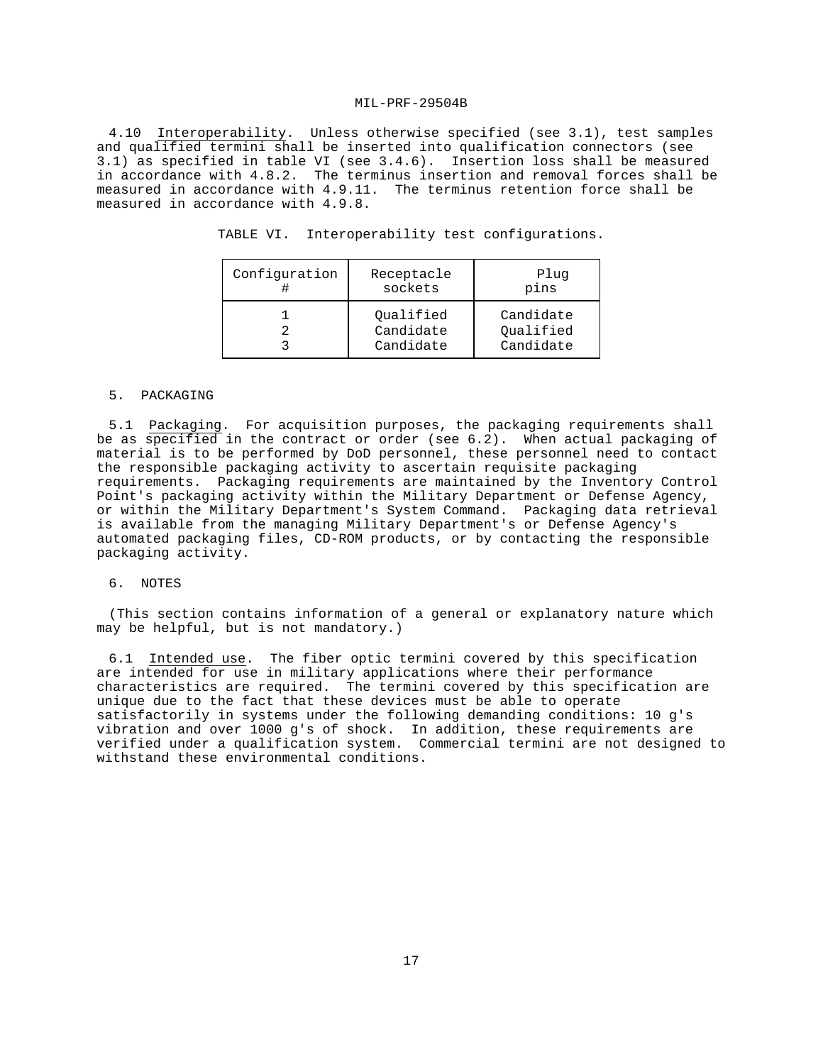4.10 Interoperability. Unless otherwise specified (see 3.1), test samples and qualified termini shall be inserted into qualification connectors (see 3.1) as specified in table VI (see 3.4.6). Insertion loss shall be measured in accordance with 4.8.2. The terminus insertion and removal forces shall be measured in accordance with 4.9.11. The terminus retention force shall be measured in accordance with 4.9.8.

| TABLE VI. Interoperability test configurations. |  |
|-------------------------------------------------|--|
|                                                 |  |

| Configuration | Receptacle<br>sockets               | Plug<br>pins                        |
|---------------|-------------------------------------|-------------------------------------|
|               | Oualified<br>Candidate<br>Candidate | Candidate<br>Oualified<br>Candidate |

#### 5. PACKAGING

5.1 Packaging. For acquisition purposes, the packaging requirements shall be as specified in the contract or order (see 6.2). When actual packaging of material is to be performed by DoD personnel, these personnel need to contact the responsible packaging activity to ascertain requisite packaging requirements. Packaging requirements are maintained by the Inventory Control Point's packaging activity within the Military Department or Defense Agency, or within the Military Department's System Command. Packaging data retrieval is available from the managing Military Department's or Defense Agency's automated packaging files, CD-ROM products, or by contacting the responsible packaging activity.

#### 6. NOTES

(This section contains information of a general or explanatory nature which may be helpful, but is not mandatory.)

6.1 Intended use. The fiber optic termini covered by this specification are intended for use in military applications where their performance characteristics are required. The termini covered by this specification are unique due to the fact that these devices must be able to operate satisfactorily in systems under the following demanding conditions: 10 g's vibration and over 1000 g's of shock. In addition, these requirements are verified under a qualification system. Commercial termini are not designed to withstand these environmental conditions.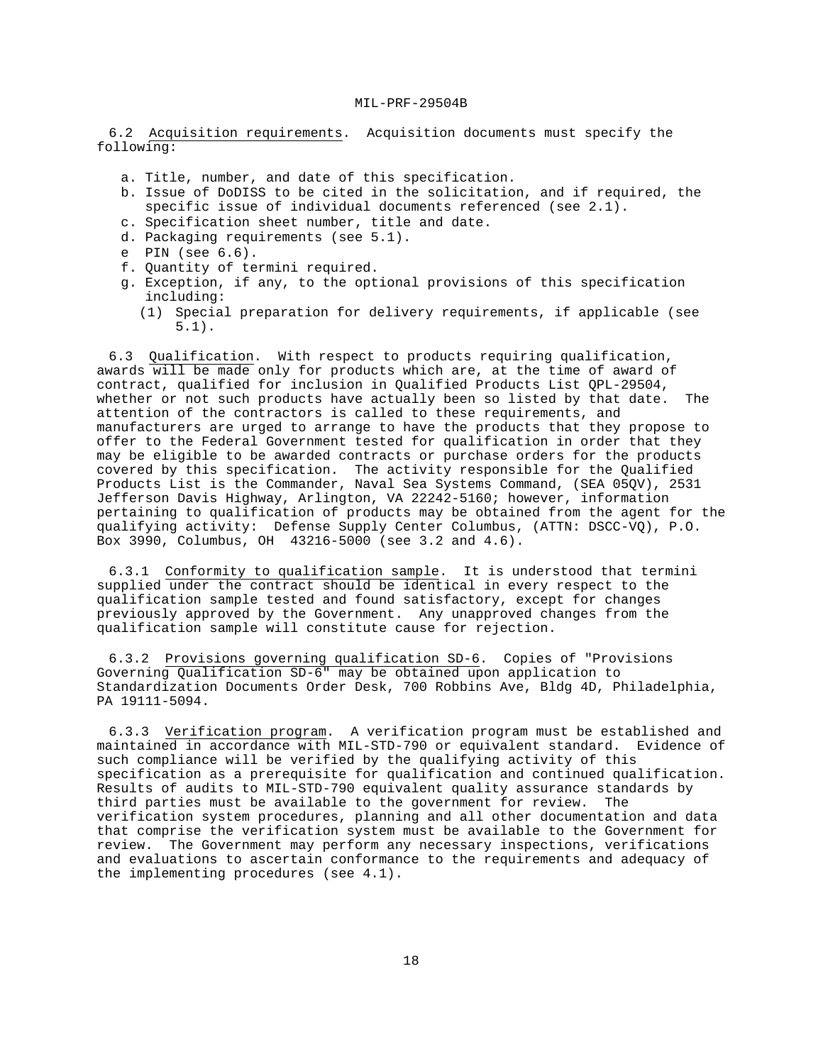6.2 Acquisition requirements. Acquisition documents must specify the following:

- a. Title, number, and date of this specification.
- b. Issue of DoDISS to be cited in the solicitation, and if required, the specific issue of individual documents referenced (see 2.1).
- c. Specification sheet number, title and date.
- d. Packaging requirements (see 5.1).
- e PIN (see 6.6).
- f. Quantity of termini required.
- g. Exception, if any, to the optional provisions of this specification including:
	- (1) Special preparation for delivery requirements, if applicable (see 5.1).

6.3 Qualification. With respect to products requiring qualification, awards will be made only for products which are, at the time of award of contract, qualified for inclusion in Qualified Products List QPL-29504, whether or not such products have actually been so listed by that date. The attention of the contractors is called to these requirements, and manufacturers are urged to arrange to have the products that they propose to offer to the Federal Government tested for qualification in order that they may be eligible to be awarded contracts or purchase orders for the products covered by this specification. The activity responsible for the Qualified Products List is the Commander, Naval Sea Systems Command, (SEA 05QV), 2531 Jefferson Davis Highway, Arlington, VA 22242-5160; however, information pertaining to qualification of products may be obtained from the agent for the qualifying activity: Defense Supply Center Columbus, (ATTN: DSCC-VQ), P.O. Box 3990, Columbus, OH 43216-5000 (see 3.2 and 4.6).

6.3.1 Conformity to qualification sample. It is understood that termini supplied under the contract should be identical in every respect to the qualification sample tested and found satisfactory, except for changes previously approved by the Government. Any unapproved changes from the qualification sample will constitute cause for rejection.

6.3.2 Provisions governing qualification SD-6. Copies of "Provisions Governing Qualification SD-6" may be obtained upon application to Standardization Documents Order Desk, 700 Robbins Ave, Bldg 4D, Philadelphia, PA 19111-5094.

6.3.3 Verification program. A verification program must be established and maintained in accordance with MIL-STD-790 or equivalent standard. Evidence of such compliance will be verified by the qualifying activity of this specification as a prerequisite for qualification and continued qualification. Results of audits to MIL-STD-790 equivalent quality assurance standards by third parties must be available to the government for review. The verification system procedures, planning and all other documentation and data that comprise the verification system must be available to the Government for review. The Government may perform any necessary inspections, verifications and evaluations to ascertain conformance to the requirements and adequacy of the implementing procedures (see 4.1).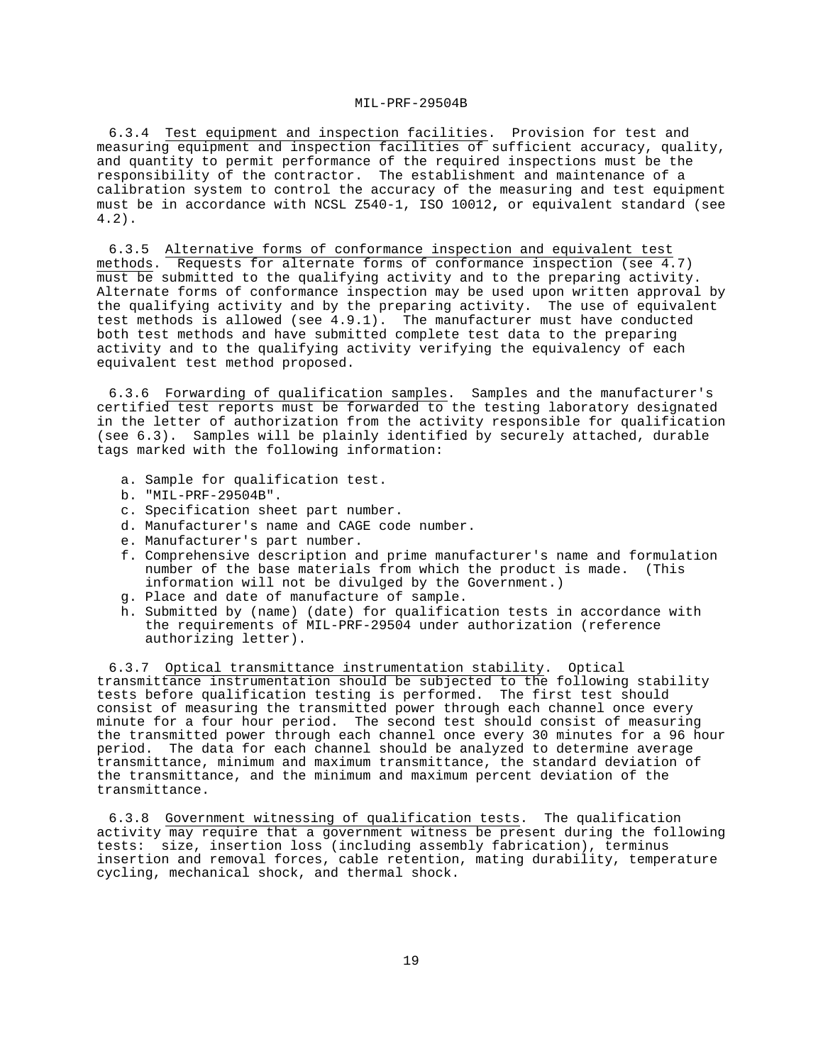6.3.4 Test equipment and inspection facilities. Provision for test and measuring equipment and inspection facilities of sufficient accuracy, quality, and quantity to permit performance of the required inspections must be the responsibility of the contractor. The establishment and maintenance of a calibration system to control the accuracy of the measuring and test equipment must be in accordance with NCSL Z540-1, ISO 10012**,** or equivalent standard (see 4.2).

6.3.5 Alternative forms of conformance inspection and equivalent test methods. Requests for alternate forms of conformance inspection (see 4.7) must be submitted to the qualifying activity and to the preparing activity. Alternate forms of conformance inspection may be used upon written approval by the qualifying activity and by the preparing activity. The use of equivalent test methods is allowed (see 4.9.1). The manufacturer must have conducted both test methods and have submitted complete test data to the preparing activity and to the qualifying activity verifying the equivalency of each equivalent test method proposed.

6.3.6 Forwarding of qualification samples. Samples and the manufacturer's certified test reports must be forwarded to the testing laboratory designated in the letter of authorization from the activity responsible for qualification (see 6.3). Samples will be plainly identified by securely attached, durable tags marked with the following information:

- a. Sample for qualification test.
- b. "MIL-PRF-29504B".
- c. Specification sheet part number.
- d. Manufacturer's name and CAGE code number.
- e. Manufacturer's part number.
- f. Comprehensive description and prime manufacturer's name and formulation number of the base materials from which the product is made. (This information will not be divulged by the Government.)
- g. Place and date of manufacture of sample.
- h. Submitted by (name) (date) for qualification tests in accordance with the requirements of MIL-PRF-29504 under authorization (reference authorizing letter).

6.3.7 Optical transmittance instrumentation stability. Optical transmittance instrumentation should be subjected to the following stability tests before qualification testing is performed. The first test should consist of measuring the transmitted power through each channel once every minute for a four hour period. The second test should consist of measuring the transmitted power through each channel once every 30 minutes for a 96 hour period. The data for each channel should be analyzed to determine average transmittance, minimum and maximum transmittance, the standard deviation of the transmittance, and the minimum and maximum percent deviation of the transmittance.

6.3.8 Government witnessing of qualification tests. The qualification activity may require that a government witness be present during the following tests: size, insertion loss (including assembly fabrication), terminus insertion and removal forces, cable retention, mating durability, temperature cycling, mechanical shock, and thermal shock.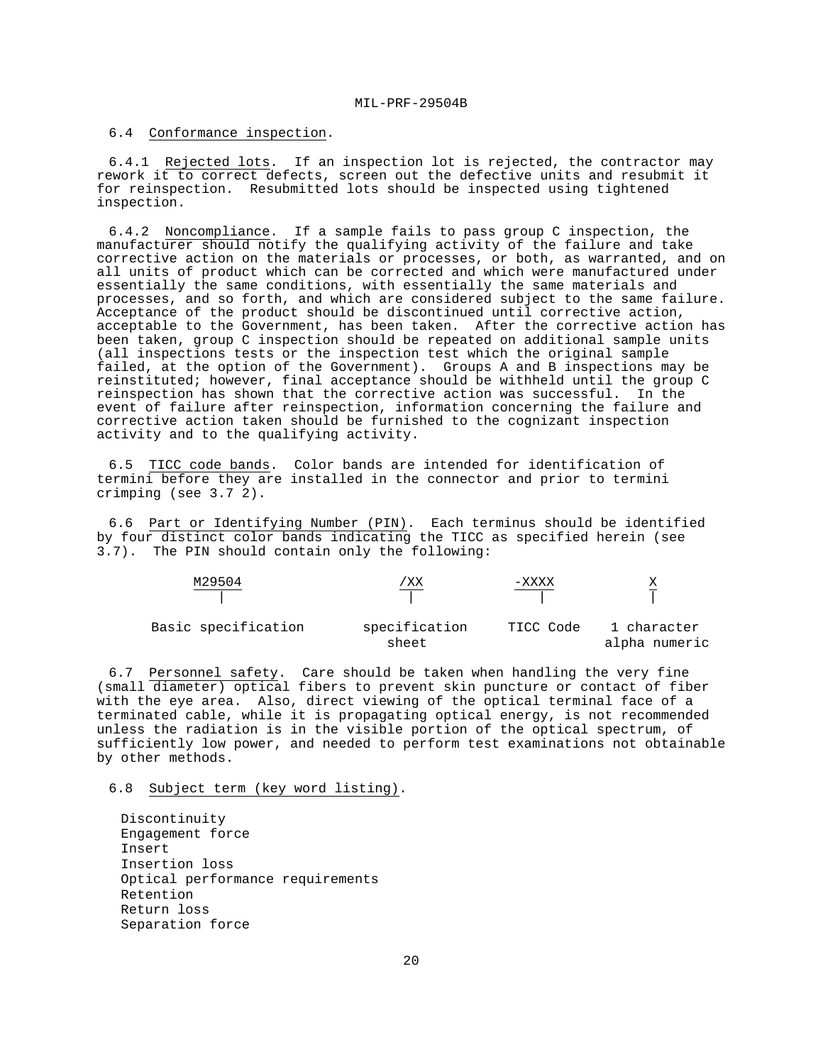## 6.4 Conformance inspection.

6.4.1 Rejected lots. If an inspection lot is rejected, the contractor may rework it to correct defects, screen out the defective units and resubmit it for reinspection. Resubmitted lots should be inspected using tightened inspection.

6.4.2 Noncompliance. If a sample fails to pass group C inspection, the manufacturer should notify the qualifying activity of the failure and take corrective action on the materials or processes, or both, as warranted, and on all units of product which can be corrected and which were manufactured under essentially the same conditions, with essentially the same materials and processes, and so forth, and which are considered subject to the same failure. Acceptance of the product should be discontinued until corrective action, acceptable to the Government, has been taken. After the corrective action has been taken, group C inspection should be repeated on additional sample units (all inspections tests or the inspection test which the original sample failed, at the option of the Government). Groups A and B inspections may be reinstituted; however, final acceptance should be withheld until the group C reinspection has shown that the corrective action was successful. In the event of failure after reinspection, information concerning the failure and corrective action taken should be furnished to the cognizant inspection activity and to the qualifying activity.

6.5 TICC code bands. Color bands are intended for identification of termini before they are installed in the connector and prior to termini crimping (see 3.7 2).

6.6 Part or Identifying Number (PIN). Each terminus should be identified by four distinct color bands indicating the TICC as specified herein (see 3.7). The PIN should contain only the following:

| M29504              | 'XХ                    | -xxxx     |                              |
|---------------------|------------------------|-----------|------------------------------|
| Basic specification | specification<br>sheet | TICC Code | 1 character<br>alpha numeric |

6.7 Personnel safety. Care should be taken when handling the very fine (small diameter) optical fibers to prevent skin puncture or contact of fiber with the eye area. Also, direct viewing of the optical terminal face of a terminated cable, while it is propagating optical energy, is not recommended unless the radiation is in the visible portion of the optical spectrum, of sufficiently low power, and needed to perform test examinations not obtainable by other methods.

6.8 Subject term (key word listing).

Discontinuity Engagement force Insert Insertion loss Optical performance requirements Retention Return loss Separation force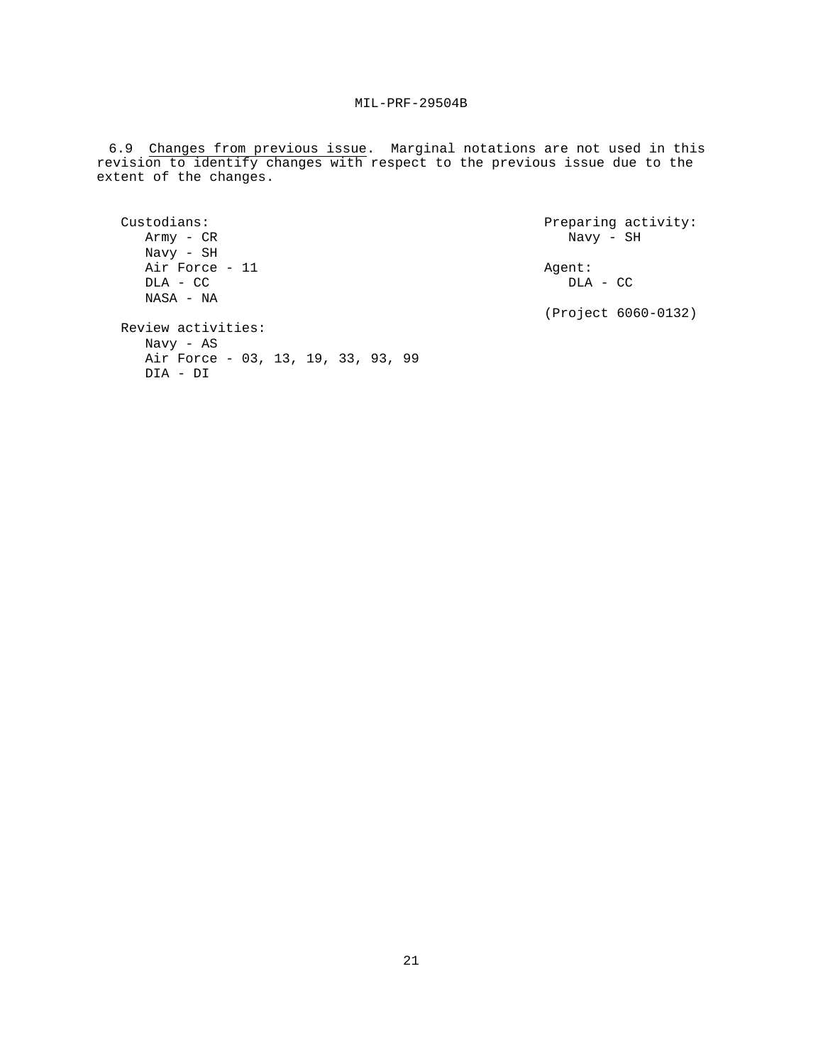6.9 Changes from previous issue. Marginal notations are not used in this revision to identify changes with respect to the previous issue due to the extent of the changes.

```
Custodians: Preparing activity: 
 Army - CR Navy - SH
  Navy - SH 
  Air Force - 11 Agent: 
 DLA - CC NASA - NA 
                                   (Project 6060-0132) 
Review activities: 
  Navy - AS 
  Air Force - 03, 13, 19, 33, 93, 99 
  DIA - DI
```